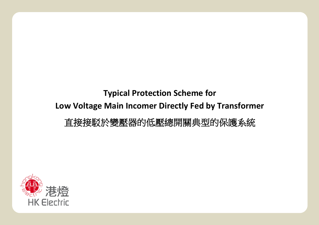## **Typical Protection Scheme for Low Voltage Main Incomer Directly Fed by Transformer** 直接接駁於變壓器的低壓總開關典型的保護系統

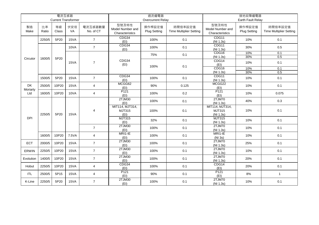|                |             | 電流互感器       | <b>Current Transformer</b> |                      | 過流繼電器<br>Overcurrent Relay                   |                                          |                                           |                                              | 接地故障繼電器<br>Earth Fault Relay                  |                                           |
|----------------|-------------|-------------|----------------------------|----------------------|----------------------------------------------|------------------------------------------|-------------------------------------------|----------------------------------------------|-----------------------------------------------|-------------------------------------------|
| 製造<br>Make     | 比率<br>Ratio | 等級<br>Class | 伏安培<br>VA                  | 電流互感器數量<br>No. of CT | 型號及特性<br>Model Number and<br>Characteristics | 操作桿設定值<br><b>Plug Setting</b>            | 時間倍率設定值<br><b>Time Multiplier Setting</b> | 型號及特性<br>Model Number and<br>Characteristics | 操作桿設定值<br><b>Plug Setting</b>                 | 時間倍率設定值<br><b>Time Multiplier Setting</b> |
|                | 2250/5      | 5P20        | 15VA                       | $\overline{7}$       | CDG34<br>(EI)                                | 100%                                     | 0.1                                       | CDG11<br>(NI 1.3s)                           | 10%                                           | 0.1                                       |
|                |             |             | 10VA                       | $\overline{7}$       | CDG34<br>(EI)                                | 100%                                     | 0.1                                       | CDG11<br>(NI 1.3s)                           | 30%                                           | 0.5                                       |
| Circutor       | 1600/5      | 5P20        |                            |                      |                                              | 75%                                      | 0.1                                       | CDG16<br>(NI 1.3s)                           | 10%<br>30%                                    | 0.1<br>0.5                                |
|                |             |             | 15VA                       | $\overline{7}$       | CDG34<br>(EI)                                | 100%                                     | 0.1                                       | CDG14<br>(EI)                                | 10%                                           | 0.1                                       |
|                |             |             |                            |                      |                                              |                                          |                                           | CDG <sub>16</sub><br>(NI 1.3s)               | 10%<br>30%                                    | 0.1<br>0.5                                |
|                | 1500/5      | 5P20        | 15VA                       | $\overline{7}$       | CDG34<br>(EI)                                | 100%                                     | 0.1                                       | CDG11<br>(N11.3s)                            | 10%                                           | 0.1                                       |
| DK<br>Moriarty | 2500/5      | 10P20       | 15VA                       | $\overline{4}$       | MCGG62<br>(EI)                               | 90%                                      | 0.125                                     | MCGG22<br>(EI)                               | 10%                                           | 0.1                                       |
| Ltd            | 1600/5      | 10P20       | 10VA                       | $\overline{4}$       | P121<br>(EI)                                 | 100%                                     | 0.2                                       | P <sub>121</sub><br>(EI)                     | 10%                                           | 0.075                                     |
|                | 2250/5      | 5P20        |                            |                      | 2TJM30<br>(EI)                               | 100%                                     | 0.1                                       | 2TJM70<br>(NI 1.3s)                          | 40%                                           | 0.3                                       |
|                |             |             |                            | 15VA                 | 4                                            | MIT114, MJT314,<br><b>MJT315</b><br>(EI) | 100%                                      | 0.1                                          | MIT114, MJT314,<br><b>MJT315</b><br>(NI 1.3s) | 10%                                       |
| <b>DPI</b>     |             |             |                            |                      | <b>MJT315</b><br>(EI)                        | 32%                                      | 0.1                                       | <b>MJT315</b><br>(NI 1.3s)                   | 10%                                           | 0.1                                       |
|                |             |             |                            | $\overline{7}$       | 2TJM30<br>(EI)                               | 100%                                     | 0.1                                       | 2TJM70<br>(NI 1.3s)                          | 10%                                           | 0.1                                       |
|                | 1600/5      | 10P20       | 7.5VA                      | $\overline{4}$       | MRI1-IE<br>(EI)                              | 100%                                     | 0.1                                       | MRI1-IE<br>(NI 3s)                           | 10%                                           | 0.1                                       |
| ECT            | 2000/5      | 10P20       | 15VA                       | $\overline{7}$       | 2TJM30<br>(EI)                               | 100%                                     | 0.1                                       | 2TJM70<br>(NI 1.3s)                          | 25%                                           | 0.1                                       |
| ERWIN          | 2250/5      | 10P20       | 15VA                       | $\overline{7}$       | 2TJM30<br>(EI)                               | 100%                                     | 0.1                                       | 2TJM70<br>(NI 1.3s)                          | 10%                                           | 0.1                                       |
| Evolution      | 1400/5      | 10P20       | 15VA                       | $\overline{7}$       | 2TJM30<br>(EI)                               | 100%                                     | 0.1                                       | 2TJM70<br>(NI 1.3s)                          | 20%                                           | 0.1                                       |
| Hobut          | 2250/5      | 10P20       | 15VA                       | $\overline{4}$       | CDG34<br>(EI)                                | 100%                                     | 0.1                                       | CDG14<br>(EI)                                | 20%                                           | 0.1                                       |
| ITL.           | 2500/5      | 5P15        | 15VA                       | $\overline{4}$       | P121<br>(EI)                                 | 90%                                      | 0.1                                       | P <sub>121</sub><br>(EI)                     | 8%                                            | $\mathbf{1}$                              |
| K-Line         | 2250/5      | 5P20        | 15VA                       | $\overline{7}$       | 2TJM30<br>(EI)                               | 100%                                     | 0.1                                       | 2TJM70<br>(NI 1.3s)                          | 10%                                           | 0.1                                       |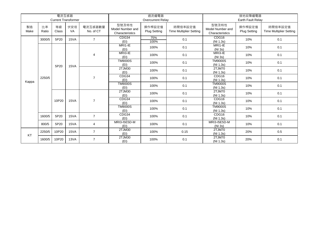|            |             | 電流互感器       | <b>Current Transformer</b> |                      |                                              | 過流繼電器<br><b>Overcurrent Relay</b> |                                           | 接地故障繼電器<br><b>Earth Fault Relav</b>          |                               |                                           |  |
|------------|-------------|-------------|----------------------------|----------------------|----------------------------------------------|-----------------------------------|-------------------------------------------|----------------------------------------------|-------------------------------|-------------------------------------------|--|
| 製造<br>Make | 比率<br>Ratio | 等級<br>Class | 伏安培<br><b>VA</b>           | 電流互感器數量<br>No. of CT | 型號及特性<br>Model Number and<br>Characteristics | 操作桿設定值<br><b>Plug Setting</b>     | 時間倍率設定值<br><b>Time Multiplier Setting</b> | 型號及特性<br>Model Number and<br>Characteristics | 操作桿設定值<br><b>Plug Setting</b> | 時間倍率設定值<br><b>Time Multiplier Setting</b> |  |
|            | 3000/5      | 5P20        | 15VA                       | $\overline{7}$       | CDG34<br>(EI)                                | 75%<br>100%                       | 0.1                                       | CDG <sub>16</sub><br>(NI 1.3s)               | 10%                           | 0.1                                       |  |
|            |             |             |                            |                      | MRI1-IE<br>(EI)                              | 100%                              | 0.1                                       | MRI1-IE<br>(NI 3s)                           | 10%                           | 0.1                                       |  |
|            |             |             |                            | 4                    | $MRI3-IE$<br>(EI)                            | 100%                              | 0.1                                       | MRI3-IE<br>(NI 3s)                           | 10%                           | 0.1                                       |  |
|            |             | 5P20        | 15VA                       |                      | <b>TM9000S</b><br>(EI)                       | 100%                              | 0.1                                       | <b>TM9000S</b><br>(NI 1.3s)                  | 10%                           | 0.1                                       |  |
|            | 2250/5      |             |                            |                      | 2TJM30<br>(EI)                               | 100%                              | 0.1                                       | 2TJM70<br>(NI 1.3s)                          | 10%                           | 0.1                                       |  |
|            |             |             |                            | $\overline{7}$       | CDG34<br>(EI)                                | 100%                              | 0.1                                       | CDG16<br>(NI 1.3s)                           | 10%                           | 0.1                                       |  |
| Kappa      |             |             |                            |                      | <b>TM9000S</b><br>(EI)                       | 100%                              | 0.1                                       | <b>TM9000S</b><br>(NI 1.3s)                  | 10%                           | 0.1                                       |  |
|            |             |             |                            |                      | 2TJM30<br>(EI)                               | 100%                              | 0.1                                       | 2TJM70<br>(NI 1.3s)                          | 10%                           | 0.1                                       |  |
|            |             | 10P20       | 15VA                       | $\overline{7}$       | CDG34<br>(EI)                                | 100%                              | 0.1                                       | CDG16<br>(NI 1.3s)                           | 10%                           | 0.1                                       |  |
|            |             |             |                            |                      | <b>TM9000S</b><br>(EI)                       | 100%                              | 0.1                                       | <b>TM9000S</b><br>(NI 1.3s)                  | 10%                           | 0.1                                       |  |
|            | 1600/5      | 5P20        | 15VA                       | $\overline{7}$       | CDG34<br>(EI)                                | 100%                              | 0.1                                       | CDG16<br>(NI 1.3s)                           | 10%                           | 0.1                                       |  |
|            | 800/5       | 5P20        | 15VA                       | $\overline{4}$       | <b>MRI3-I5E5D-M</b><br>(EI)                  | 100%                              | 0.1                                       | MRI3-I5E5D-M<br>(NI 3s)                      | 10%                           | 0.1                                       |  |
| KT         | 2250/5      | 10P20       | 15VA                       | $\overline{7}$       | 2TJM30<br>(EI)                               | 100%                              | 0.15                                      | 2TJM70<br>(NI 1.3s)                          | 20%                           | 0.5                                       |  |
|            | 1600/5      | 10P20       | 13VA                       | $\overline{7}$       | 2TJM30<br>(EI)                               | 100%                              | 0.1                                       | 2TJM70<br>(NI 1.3s)                          | 20%                           | 0.1                                       |  |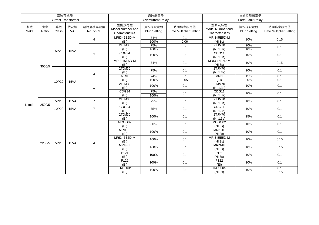|            |             | 電流互感器       |                            |                      |                                              | 過流繼電器                         |                                           | 接地故障繼電器                                      |                                                                    |                                           |  |
|------------|-------------|-------------|----------------------------|----------------------|----------------------------------------------|-------------------------------|-------------------------------------------|----------------------------------------------|--------------------------------------------------------------------|-------------------------------------------|--|
|            |             |             | <b>Current Transformer</b> |                      |                                              | Overcurrent Relay             |                                           |                                              | Earth Fault Relay                                                  |                                           |  |
| 製造<br>Make | 比率<br>Ratio | 等級<br>Class | 伏安培<br><b>VA</b>           | 電流互感器數量<br>No. of CT | 型號及特性<br>Model Number and<br>Characteristics | 操作桿設定值<br><b>Plug Setting</b> | 時間倍率設定值<br><b>Time Multiplier Setting</b> | 型號及特性<br>Model Number and<br>Characteristics | 操作桿設定值<br><b>Plug Setting</b>                                      | 時間倍率設定值<br><b>Time Multiplier Setting</b> |  |
|            |             |             |                            | $\overline{4}$       | MRI3-I5E5D-M<br>(EI)                         | 74%<br>100%                   | 0.1<br>0.06                               | MRI3-I5E5D-M<br>(NI 3s)                      | 10%                                                                | 0.15                                      |  |
|            |             | 5P20        | 15VA                       |                      | 2TJM30<br>(EI)                               | 75%<br>100%                   | 0.1                                       | 2TJM70<br>(NI 1.3s)                          | 20%<br>10%                                                         | 0.1                                       |  |
|            |             |             |                            | $\overline{7}$       | CDG34<br>(EI)                                | 100%                          | 0.1                                       | CDG11<br>(NI 1.3s)                           | 10%                                                                | 0.1                                       |  |
|            | 3000/5      |             |                            |                      | MRI3-15E5D-M<br>(EI)                         | 74%                           | 0.1                                       | MRI3-15E5D-M<br>(NI 3s)                      | 10%                                                                | 0.15                                      |  |
|            |             |             |                            | $\overline{4}$       | 2TJM30<br>(EI)                               | 75%                           | 0.1                                       | 2TJM70<br>(NI 1.3s)                          | 20%                                                                | 0.1                                       |  |
|            |             |             |                            |                      | MR <sub>11</sub>                             | 74%                           | 0.1                                       | MRI1                                         |                                                                    |                                           |  |
|            |             | 10P20       | 15VA                       |                      | (EI)                                         | 100%                          | 0.05                                      | (EI)                                         | 15%<br>0.1<br>20%<br>0.1<br>0.1<br>10%<br>0.1<br>10%<br>10%<br>0.1 |                                           |  |
|            |             |             |                            | $\overline{7}$       | 2TJM30<br>(EI)                               | 100%                          | 0.1                                       | 2TJM70<br>(NI 1.3s)                          |                                                                    |                                           |  |
|            |             |             |                            |                      | CDG34<br>(EI)                                | 75%<br>100%                   | 0.1                                       | CDG11<br>(NI 1.3s)                           |                                                                    |                                           |  |
| Nitech     | 2500/5      | 5P20        | 15VA                       | $\overline{7}$       | 2TJM30<br>(EI)                               | 75%                           | 0.1                                       | 2TJM70<br>(NI 1.3s)                          |                                                                    |                                           |  |
|            |             | 10P20       | 15VA                       | $\overline{7}$       | CDG34<br>(EI)                                | 75%                           | 0.1                                       | CDG11<br>(NI 1.3s)                           | 10%                                                                | 0.1                                       |  |
|            |             |             |                            |                      | 2TJM30<br>(EI)                               | 100%                          | 0.1                                       | 2TJM70<br>(NI 1.3s)                          | 25%                                                                | 0.1                                       |  |
|            |             |             |                            |                      | MCGG82<br>(EI)                               | 80%                           | 0.1                                       | MCGG82<br>(NI 3s)                            | 10%                                                                | 0.1                                       |  |
|            |             |             |                            |                      | MRI1-IE<br>(EI)                              | 100%                          | 0.1                                       | MRI1-IE<br>(NI 3s)                           | 10%                                                                | 0.1                                       |  |
|            | 2250/5      | 5P20        | 15VA                       | 4                    | MRI3-I5E5D-M<br>(EI)                         | 100%                          | 0.1                                       | MRI3-I5E5D-M<br>(NI 3s)                      | 10%                                                                | 0.15                                      |  |
|            |             |             |                            |                      | MRI3-IE<br>(EI)                              | 100%                          | 0.1                                       | MRI3-IE<br>(NI 3s)                           | 10%                                                                | 0.15                                      |  |
|            |             |             |                            |                      | P <sub>121</sub><br>(EI)                     | 100%                          | 0.1                                       | P <sub>121</sub><br>(NI 3s)                  | 10%                                                                | 0.1                                       |  |
|            |             |             |                            |                      | P <sub>122</sub><br>(EI)                     | 100%                          | 0.1                                       | P <sub>122</sub><br>(EI)                     | 20%                                                                | 0.1                                       |  |
|            |             |             |                            |                      | <b>TM9000s</b><br>(EI)                       | 100%                          | 0.1                                       | <b>TM9000S</b><br>(NI 3s)                    | 10%                                                                | 0.1<br>0.15                               |  |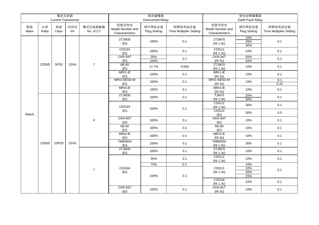|            |             | 電流互感器       |                            |                      |                                              | 過流繼電器                         |                                           | 接地故障繼電器                                      |                                 |                                           |  |
|------------|-------------|-------------|----------------------------|----------------------|----------------------------------------------|-------------------------------|-------------------------------------------|----------------------------------------------|---------------------------------|-------------------------------------------|--|
|            |             |             | <b>Current Transformer</b> |                      |                                              | Overcurrent Relay             |                                           |                                              | Earth Fault Relay               |                                           |  |
| 製造<br>Make | 比率<br>Ratio | 等級<br>Class | 伏安培<br>VA                  | 電流互感器數量<br>No. of CT | 型號及特性<br>Model Number and<br>Characteristics | 操作桿設定值<br><b>Plug Setting</b> | 時間倍率設定值<br><b>Time Multiplier Setting</b> | 型號及特性<br>Model Number and<br>Characteristics | 操作桿設定值<br><b>Plug Setting</b>   | 時間倍率設定值<br><b>Time Multiplier Setting</b> |  |
|            |             |             |                            |                      | 2TJM30<br>(EI)                               | 100%                          | 0.1                                       | 2TJM70<br>(NI 1.3s)                          | 10%<br>25%<br>30%               | 0.1                                       |  |
|            |             |             |                            |                      | CDG34<br>(EI)                                | 100%                          | 0.1                                       | CDG11<br>(NI 1.3s)                           | 10%                             | 0.1                                       |  |
|            |             |             |                            |                      | CKR-94T<br>(EI)                              | 35%<br>100%                   | 0.1                                       | CKR-94T<br>(NI 3s)                           | 50%<br>20%                      | 0.1                                       |  |
|            | 2250/5      | 5P20        | 15VA                       | $\overline{7}$       | MC40<br>(EI)                                 | 17.7%                         | 0.064                                     | 2TJM70<br>(NI 1.3s)                          | 10%                             | 0.1                                       |  |
|            |             |             |                            |                      | MRI1-IE<br>(EI)                              | 100%                          | 0.1                                       | MRI1-IE<br>(NI 3s)                           | 10%                             | 0.1                                       |  |
|            |             |             |                            |                      | MRI3-I5E5D-M                                 | 100%                          | 0.1                                       | MRI3-I5E5D-M                                 | 10%                             | 0.1                                       |  |
|            |             |             |                            |                      | (EI)                                         |                               |                                           | (NI 3s)                                      |                                 | 0.15                                      |  |
|            |             |             |                            |                      | MRI3-IE<br>(EI)                              | 100%                          | 0.1                                       | MRI3-IE<br>(NI 3s)                           | 10%                             | 0.1                                       |  |
|            |             |             |                            |                      | 2TJM30                                       | 100%                          | 0.1                                       | TJM70                                        | 25%<br>0.1<br>30%<br>0.1<br>30% |                                           |  |
|            |             |             |                            |                      | (EI)                                         |                               |                                           | (NI 1.3s)<br>CDG11                           |                                 |                                           |  |
|            |             |             |                            |                      | CDG34                                        | 100%                          | 0.1                                       | (NI 1.3s)                                    | $0.5\,$<br>30%                  |                                           |  |
| Nitech     |             |             |                            |                      | (EI)                                         |                               |                                           | CDG14<br>(EI)                                |                                 |                                           |  |
|            |             |             |                            | 4                    | CKR-83T<br>(EI)                              | 100%                          | 0.1                                       | CKR-83T<br>(EI)                              | 10%                             | 0.1                                       |  |
|            |             |             |                            |                      | MC40<br>(EI)                                 | 100%                          | 0.1                                       | MC40<br>(EI)                                 | 10%                             | 0.1                                       |  |
|            |             |             |                            |                      | MRI3-IE<br>(EI)                              | 100%                          | 0.1                                       | MRI3-IE<br>(NI 3s)                           | 10%                             | 0.1                                       |  |
|            | 2250/5      | 10P20       | 15VA                       |                      | <b>TM9000S</b><br>(EI)                       | 100%                          | 0.1                                       | <b>TM9000S</b><br>(NI 1.3s)                  | 30%                             | 0.1                                       |  |
|            |             |             |                            |                      | 2TJM30<br>(EI)                               | 100%                          | 0.1                                       | 2TJM70<br>(NI 1.3s)                          | 10%                             | 0.1                                       |  |
|            |             |             |                            |                      |                                              | 50%                           | 0.1                                       | CDG11<br>(NI 1.3s)                           | 10%                             | 0.1                                       |  |
|            |             |             |                            |                      |                                              | 75%                           | 0.1                                       |                                              | 10%                             |                                           |  |
|            |             |             |                            | $\overline{7}$       | CDG34                                        |                               |                                           | CDG11                                        | 10%                             | 0.1                                       |  |
|            |             |             |                            |                      | (EI)                                         | 100%                          | 0.1                                       | (NI 1.3s)                                    | 20%<br>25%                      |                                           |  |
|            |             |             |                            |                      |                                              |                               |                                           | CDG16<br>(NI 1.3s)                           | 10%                             | 0.1                                       |  |
|            |             |             |                            |                      | CKR-83T<br>(EI)                              | 100%                          | 0.1                                       | CKR-81T<br>(NI 3s)                           | 10%                             | 0.1                                       |  |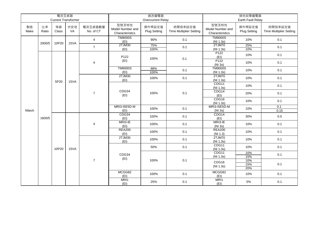|            |             | 電流互感器       |                            |                      |                                              | 過流繼電器                         |                                           | 接地故障繼電器                                               |                               |                                               |     |
|------------|-------------|-------------|----------------------------|----------------------|----------------------------------------------|-------------------------------|-------------------------------------------|-------------------------------------------------------|-------------------------------|-----------------------------------------------|-----|
|            |             |             | <b>Current Transformer</b> |                      |                                              | Overcurrent Relay             |                                           |                                                       | Earth Fault Relay             |                                               |     |
| 製造<br>Make | 比率<br>Ratio | 等級<br>Class | 伏安培<br>VA                  | 電流互感器數量<br>No. of CT | 型號及特性<br>Model Number and<br>Characteristics | 操作桿設定值<br><b>Plug Setting</b> | 時間倍率設定值<br><b>Time Multiplier Setting</b> | 型號及特性<br>Model Number and<br>Characteristics          | 操作桿設定值<br><b>Plug Setting</b> | 時間倍率設定值<br><b>Time Multiplier Setting</b>     |     |
|            | 2000/5      | 10P20       | 15VA                       | $\overline{4}$       | <b>TM9000S</b><br>(EI)                       | 90%                           | 0.1                                       | <b>TM9000S</b><br>(NI 1.3s)                           | 10%                           | 0.1                                           |     |
|            |             |             |                            | $\overline{7}$       | 2TJM30<br>(EI)                               | 75%<br>100%                   | 0.1                                       | 2TJM70<br>(NI 1.3s)                                   | 25%<br>10%                    | 0.1                                           |     |
|            |             |             |                            |                      | P122                                         | 100%                          | 0.1                                       | P <sub>122</sub><br>$\frac{\text{(El)}}{\text{P122}}$ | 10%                           | 0.1                                           |     |
|            |             |             |                            | $\overline{4}$       | (EI)                                         |                               |                                           | $\frac{(NI 3s)}{TM9000S}$                             | 10%                           | 0.1                                           |     |
|            |             |             |                            |                      | <b>TM9000S</b><br>(EI)                       | 88%<br>100%                   | 0.1                                       | (NI 1.3s)                                             | 10%                           | 0.1                                           |     |
|            |             | 5P20        | 15VA                       |                      | 2TJM30<br>(EI)                               | 100%                          | 0.1                                       | 2TJM70<br>(NI 1.3s)                                   | 10%                           | 0.1<br>0.1<br>10%<br>0.1<br>20%<br>10%<br>0.1 |     |
|            |             |             |                            | $\overline{7}$       | CDG34<br>(EI)                                |                               |                                           | CDG11<br>(NI 1.3s)                                    |                               |                                               |     |
|            |             |             |                            |                      |                                              | 100%                          | 0.1                                       | CDG14<br>(EI)                                         |                               |                                               |     |
|            |             |             |                            |                      |                                              |                               |                                           | CDG16<br>(N1.3s)                                      |                               |                                               |     |
| Nitech     |             |             |                            |                      | MRI3-I5E5D-M<br>(EI)                         | 100%                          | 0.1                                       | <b>MRI3-I5E5D-M</b><br>(NI 3s)                        | 10%                           | 0.1<br>0.15                                   |     |
|            | 1600/5      |             |                            |                      | CDG34<br>(EI)                                | 100%                          | 0.1                                       | CDG14<br>(EI)                                         | 30%                           | $0.5\,$                                       |     |
|            |             |             |                            | 4                    | MRI3-IE<br>(EI)                              | 100%                          | 0.1                                       | MRI3-IE<br>(NI 3s)                                    | 10%                           | 0.1                                           |     |
|            |             |             |                            |                      | <b>REA200</b><br>(EI)                        | 100%                          | 0.1                                       | <b>REA200</b><br>(NI 1.3)                             | 10%                           | 0.1                                           |     |
|            |             |             |                            |                      | 2TJM30<br>(EI)                               | 100%                          | 0.1                                       | 2TJM70<br>(NI 1.3s)                                   | 10%                           | 0.1                                           |     |
|            |             | 10P20       | 15VA                       |                      |                                              | 50%                           | 0.1                                       | CDG11<br>(NI 1.3s)                                    | 10%                           | 0.1                                           |     |
|            |             |             |                            |                      | CDG34<br>(EI)                                |                               |                                           | CDG11<br>(NI 1.3s)                                    | 10%<br>15%                    | 0.1                                           |     |
|            |             |             |                            | $\overline{7}$       |                                              | 100%                          | 0.1                                       | CDG16<br>(NI 1.3s)                                    | 10%<br>15%<br>20%             | 0.1                                           |     |
|            |             |             |                            |                      | MCGG82<br>(EI)                               | 100%                          | 0.1                                       | MCGG82<br>(EI)                                        | 10%                           | 0.1                                           |     |
|            |             |             |                            |                      |                                              | MRI1<br>(EI)                  | 25%                                       | 0.1                                                   | MRI1<br>(EI)                  | $5\%$                                         | 0.1 |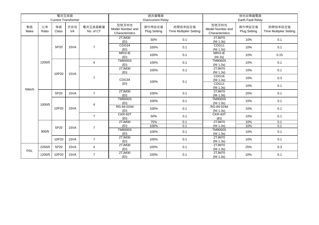|            |             | 電流互感器       | <b>Current Transformer</b> |                      |                                              | 過流繼電器<br><b>Overcurrent Relay</b> |                                           | 接地故障繼電器<br>Earth Fault Relay                                                          |                               |                                                                           |  |
|------------|-------------|-------------|----------------------------|----------------------|----------------------------------------------|-----------------------------------|-------------------------------------------|---------------------------------------------------------------------------------------|-------------------------------|---------------------------------------------------------------------------|--|
| 製造<br>Make | 比率<br>Ratio | 等級<br>Class | 伏安培<br>VA                  | 電流互感器數量<br>No. of CT | 型號及特性<br>Model Number and<br>Characteristics | 操作桿設定值<br><b>Plug Setting</b>     | 時間倍率設定值<br><b>Time Multiplier Setting</b> | 型號及特性<br>Model Number and<br>Characteristics                                          | 操作桿設定值<br><b>Plug Setting</b> | 時間倍率設定值<br><b>Time Multiplier Setting</b>                                 |  |
|            |             |             |                            |                      | 2TJM30<br>(EI)                               | 50%                               | 0.1                                       | 2TJM70<br>(NI 1.3s)                                                                   | 10%                           | 0.1                                                                       |  |
|            |             | 5P20        | 15VA                       | $\overline{7}$       | CDG34<br>(EI)                                | 100%                              | 0.1                                       | CDG11<br>(NI 1.3s)                                                                    | 10%                           | 0.1                                                                       |  |
|            |             |             |                            |                      | MRI3-IE<br>(EI)                              | 100%                              | 0.1                                       | MRI3-IE<br>(NI 3s)                                                                    | 10%                           | 0.15                                                                      |  |
|            | 1200/5      |             |                            | 4                    | <b>TM9000S</b><br>(EI)                       | 100%                              | 0.1                                       | <b>TM9000S</b><br>(NI 1.3s)                                                           | 10%                           | 0.1                                                                       |  |
|            |             | 10P20       | 15VA                       |                      | 2TJM30<br>(EI)                               | 100%                              | 0.1                                       | 2TJM70<br>0.1<br>10%<br>(NI 1.3s)<br>CDG16<br>0.3<br>10%<br>(NI 1.3s)<br>CDG11<br>10% |                               |                                                                           |  |
| Nitech     |             |             |                            | $\overline{7}$       | CDG34                                        | 100%                              | 0.1                                       |                                                                                       |                               |                                                                           |  |
|            |             |             |                            |                      | (EI)                                         |                                   |                                           | (NI 1.3s)                                                                             |                               | 0.1                                                                       |  |
|            |             | 5P20        | 15VA                       | $\overline{7}$       | 2TJM30<br>(EI)                               | 100%                              | 0.1                                       | 2TJM70<br>(NI 1.3s)                                                                   | 20%                           | 0.1                                                                       |  |
|            | 1000/5      |             |                            | 4                    | <b>TM9000S</b><br>(EI)                       | 100%                              | 0.1                                       | <b>TM9000S</b><br>(NI 1.3s)                                                           | 10%                           | 0.1                                                                       |  |
|            |             | 10P20       | 15VA                       |                      | RG-84-024d<br>(EI)                           | 100%                              | 0.1                                       | RG-84-024d<br>(NI 1.3s)                                                               | 10%                           | 0.1<br>10%<br>0.1<br>10%<br>0.1<br>10%<br>0.1<br>0.1<br>10%<br>0.1<br>10% |  |
|            |             |             |                            | $\overline{7}$       | CKR-83T<br>(EI)                              | 50%                               | 0.1                                       | CKR-83T<br>(EI)                                                                       |                               |                                                                           |  |
|            |             |             |                            |                      | 2TJM30                                       | 75%                               | 0.1                                       | 2TJM70                                                                                |                               |                                                                           |  |
|            |             | 5P20        | 15VA                       | $\overline{7}$       | (EI)                                         | 100%                              | 0.1                                       | (NI 1.3s)                                                                             |                               |                                                                           |  |
|            | 800/5       |             |                            |                      | <b>TM9000S</b><br>(EI)                       | 100%                              | 0.1                                       | <b>TM9000S</b><br>(NI 1.3s)                                                           |                               |                                                                           |  |
|            |             | 10P20       | 15VA                       | $\overline{7}$       | 2TJM30<br>(EI)                               | 100%                              | 0.1                                       | 2TJM70<br>(NI 1.3s)                                                                   |                               |                                                                           |  |
| PDL        | 2250/5      | 5P20        | 15VA                       | 4                    | 2TJM30<br>(EI)                               | 100%                              | 0.1                                       | 2TJM70<br>(NI 1.3s)                                                                   | 25%                           | 0.3                                                                       |  |
|            | 1200/5      | 10P20       | 15VA                       | $\overline{7}$       | 2TJM30<br>(EI)                               | 100%                              | 0.1                                       | 2TJM70<br>(NI 1.3s)                                                                   | 10%                           | 0.1                                                                       |  |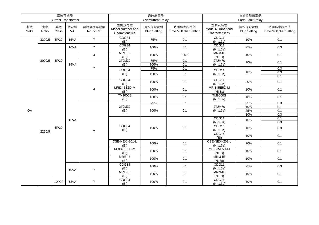|            |             | 電流互感器       |                            |                      |                                              | 過流繼電器                  |                                           |                                              | 接地故障繼電器                                                                                                                                                                                                                                                                              |                                           |                    |            |  |
|------------|-------------|-------------|----------------------------|----------------------|----------------------------------------------|------------------------|-------------------------------------------|----------------------------------------------|--------------------------------------------------------------------------------------------------------------------------------------------------------------------------------------------------------------------------------------------------------------------------------------|-------------------------------------------|--------------------|------------|--|
|            |             |             | <b>Current Transformer</b> |                      |                                              | Overcurrent Relay      |                                           |                                              |                                                                                                                                                                                                                                                                                      |                                           |                    |            |  |
| 製造<br>Make | 比率<br>Ratio | 等級<br>Class | 伏安培<br>VA                  | 電流互感器數量<br>No. of CT | 型號及特性<br>Model Number and<br>Characteristics | 操作桿設定值<br>Plug Setting | 時間倍率設定值<br><b>Time Multiplier Setting</b> | 型號及特性<br>Model Number and<br>Characteristics | 操作桿設定值<br><b>Plug Setting</b>                                                                                                                                                                                                                                                        | 時間倍率設定值<br><b>Time Multiplier Setting</b> |                    |            |  |
|            | 3200/5      | 5P20        | 15VA                       | $\overline{7}$       | CDG34<br>(EI)                                | 75%                    | 0.1                                       | CDG11<br>(NI 1.3s)                           | 10%                                                                                                                                                                                                                                                                                  | 0.1                                       |                    |            |  |
|            |             |             | 10VA                       | $\overline{7}$       | CDG34<br>(EI)                                | 100%                   | 0.1                                       | CDG11<br>(NI 1.3s)                           | 25%                                                                                                                                                                                                                                                                                  | 0.3                                       |                    |            |  |
|            |             |             |                            | $\overline{4}$       | MRI3-IE<br>(EI)                              | 100%                   | 0.07                                      | MRI3-IE<br>(NI 3s)                           | 10%                                                                                                                                                                                                                                                                                  | 0.1                                       |                    |            |  |
|            | 3000/5      | 5P20        | 15VA                       |                      | 2TJM30<br>(EI)                               | 75%<br>100%            | 0.1<br>0.1                                | 2TJM70<br>(NI 1.3s)                          | Earth Fault Relay<br>10%<br>0.1<br>0.3<br>10%<br>0.3<br>0.1<br>30%<br>0.1<br>10%<br>0.1<br>0.1<br>10%<br>25%<br>0.3<br>10%<br>0.1<br>25%<br>0.1<br>30%<br>0.3<br>0.1<br>10%<br>0.3<br>0.3<br>10%<br>0.1<br>10%<br>20%<br>0.1<br>0.1<br>10%<br>10%<br>0.1<br>0.3<br>25%<br>0.1<br>10% |                                           |                    |            |  |
|            |             |             |                            | $\overline{7}$       | CDG34                                        | 75%                    | 0.1                                       | CDG11                                        |                                                                                                                                                                                                                                                                                      |                                           |                    |            |  |
|            |             |             |                            |                      | (EI)                                         | 100%                   | 0.1                                       | (NI 1.3s)                                    |                                                                                                                                                                                                                                                                                      |                                           |                    |            |  |
|            |             |             |                            |                      | CDG34<br>(EI)                                | 100%                   | 0.1                                       | CDG11<br>(NI 1.3s)                           |                                                                                                                                                                                                                                                                                      |                                           |                    |            |  |
|            |             |             |                            | 4                    | MRI3-I5E5D-M<br>(EI)                         | 100%                   | 0.1                                       | <b>MRI3-I5E5D-M</b><br>(NI 3s)               |                                                                                                                                                                                                                                                                                      |                                           |                    |            |  |
|            |             |             |                            |                      | <b>TM9000S</b><br>(EI)                       | 100%                   | 0.1                                       | <b>TM9000S</b><br>(NI 1.3s)                  |                                                                                                                                                                                                                                                                                      |                                           |                    |            |  |
|            |             |             |                            |                      |                                              | 75%                    | 0.1                                       |                                              |                                                                                                                                                                                                                                                                                      |                                           |                    |            |  |
| QA         |             |             |                            |                      | 2TJM30                                       | 100%                   | 0.1                                       | 2TJM70                                       |                                                                                                                                                                                                                                                                                      |                                           |                    |            |  |
|            |             |             |                            |                      | (EI)                                         |                        |                                           | (NI 1.3s)                                    |                                                                                                                                                                                                                                                                                      |                                           |                    |            |  |
|            |             |             |                            |                      |                                              |                        |                                           | CDG11                                        |                                                                                                                                                                                                                                                                                      |                                           |                    |            |  |
|            |             |             | 15VA                       |                      |                                              |                        |                                           | (NI 1.3s)                                    |                                                                                                                                                                                                                                                                                      |                                           |                    |            |  |
|            | 2250/5      | 5P20        |                            |                      |                                              |                        | $\overline{7}$                            | CDG34<br>(EI)                                | 100%                                                                                                                                                                                                                                                                                 | 0.1                                       | CDG16<br>(NI 1.3s) | 10%<br>0.1 |  |
|            |             |             |                            |                      |                                              |                        |                                           | CDG14<br>(EI)                                |                                                                                                                                                                                                                                                                                      |                                           |                    |            |  |
|            |             |             |                            |                      | CSE-NEXI-201-L<br>(EI)                       | 100%                   | 0.1                                       | CSE-NEXI-201-L<br>(NI 1.3s)                  |                                                                                                                                                                                                                                                                                      |                                           |                    |            |  |
|            |             |             |                            |                      | MRI3-I5E5D-M<br>(EI)                         | 100%                   | 0.1                                       | MRI3-I5E5D-M<br>(NI 3s)                      |                                                                                                                                                                                                                                                                                      |                                           |                    |            |  |
|            |             |             |                            |                      | MRI3-IE<br>(EI)                              | 100%                   | 0.1                                       | MRI3-IE<br>(NI 3s)                           |                                                                                                                                                                                                                                                                                      |                                           |                    |            |  |
|            |             |             | 10VA                       | CDG34<br>(EI)        | 100%                                         | 0.1                    | CDG11<br>(NI 1.3s)                        |                                              |                                                                                                                                                                                                                                                                                      |                                           |                    |            |  |
|            |             |             |                            | $\overline{7}$       | MRI3-IE<br>(EI)                              | 100%                   | 0.1                                       | MRI3-IE<br>(NI 3s)                           |                                                                                                                                                                                                                                                                                      |                                           |                    |            |  |
|            |             | 10P20       | 13VA                       | $\overline{7}$       | CDG34<br>(EI)                                | 100%                   | 0.1                                       | CDG16<br>(NI 1.3s)                           |                                                                                                                                                                                                                                                                                      |                                           |                    |            |  |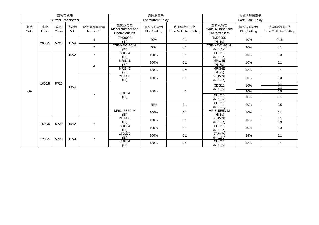|            |             | 電流互感器       | <b>Current Transformer</b> |                      |                                              | 過流繼電器<br><b>Overcurrent Relay</b> |                                           | 接地故障繼電器<br>Earth Fault Relay                 |                                                                                                                                                                                    |                                           |  |
|------------|-------------|-------------|----------------------------|----------------------|----------------------------------------------|-----------------------------------|-------------------------------------------|----------------------------------------------|------------------------------------------------------------------------------------------------------------------------------------------------------------------------------------|-------------------------------------------|--|
| 製造<br>Make | 比率<br>Ratio | 等級<br>Class | 伏安培<br>VA                  | 電流互感器數量<br>No. of CT | 型號及特性<br>Model Number and<br>Characteristics | 操作桿設定值<br><b>Plug Setting</b>     | 時間倍率設定值<br><b>Time Multiplier Setting</b> | 型號及特性<br>Model Number and<br>Characteristics | 操作桿設定值<br><b>Plug Setting</b>                                                                                                                                                      | 時間倍率設定值<br><b>Time Multiplier Setting</b> |  |
|            | 2000/5      | 5P20        | 15VA                       | $\overline{4}$       | <b>TM9000S</b><br>(EI)                       | 20%                               | 0.1                                       | <b>TM9000S</b><br>(NI 3s)                    | 10%                                                                                                                                                                                | 0.15                                      |  |
|            |             |             |                            | $\overline{7}$       | CSE-NEXI-201-L<br>(EI)                       | 40%                               | 0.1                                       | CSE-NEX1-201-L<br>(NI 1.3s)                  | 40%                                                                                                                                                                                | 0.1                                       |  |
|            |             |             | 10VA                       | $\overline{7}$       | CDG34<br>(EI)                                | 100%                              | 0.1                                       | CDG11<br>(NI 1.3s)                           | 10%                                                                                                                                                                                | 0.3                                       |  |
|            |             |             |                            | $\overline{4}$       | MRI1-IE<br>(EI)                              | 100%                              | 0.1                                       | MRI1-IE<br>(NI 3s)                           | 0.1<br>10%<br>0.1<br>10%<br>0.3<br>30%<br>0.1<br>10%<br>0.3<br>30%<br>0.5<br>0.1<br>10%<br>0.5<br>30%<br>0.1<br>10%<br>0.1<br>10%<br>0.3<br>0.3<br>10%<br>0.1<br>25%<br>10%<br>0.1 |                                           |  |
|            |             |             |                            |                      | $MRI3-IE$<br>(EI)                            | 100%                              | 0.2                                       | MRI3-IE<br>(NI 3s)                           |                                                                                                                                                                                    |                                           |  |
|            |             |             |                            |                      | 2TJM30<br>(EI)                               | 100%                              | 0.1                                       | 2TJM70<br>(NI 1.3s)                          |                                                                                                                                                                                    |                                           |  |
|            | 1600/5      | 5P20        | 15VA                       |                      |                                              |                                   |                                           |                                              | CDG11                                                                                                                                                                              |                                           |  |
| QA         |             |             |                            |                      | CDG34                                        | 100%                              | 0.1                                       | (NI 1.3s)                                    |                                                                                                                                                                                    |                                           |  |
|            |             |             |                            | $\overline{7}$       | (EI)                                         |                                   |                                           | CDG16<br>(NI 1.3s)                           |                                                                                                                                                                                    |                                           |  |
|            |             |             |                            |                      |                                              | 75%                               | 0.1                                       | CDG11<br>(NI 1.3s)                           |                                                                                                                                                                                    |                                           |  |
|            |             |             |                            |                      | MRI3-I5E5D-M<br>(EI)                         | 100%                              | 0.1                                       | MRI3-I5E5D-M<br>(NI 3s)                      |                                                                                                                                                                                    |                                           |  |
|            |             |             |                            |                      | 2TJM30<br>(EI)                               | 100%                              | 0.1                                       | 2TJM70<br>(NI 1.3s)                          |                                                                                                                                                                                    |                                           |  |
|            | 1500/5      | 5P20        | 15VA                       | $\overline{7}$       | CDG34<br>(EI)                                | 100%                              | 0.1                                       | CDG11<br>(NI 1.3s)                           |                                                                                                                                                                                    |                                           |  |
|            | 1200/5      | 5P20        | 15VA                       |                      | 2TJM30<br>(EI)                               | 100%                              | 0.1                                       | 2TJM70<br>(NI 1.3s)                          |                                                                                                                                                                                    |                                           |  |
|            |             |             |                            |                      | $\overline{7}$                               | CDG34<br>(EI)                     | 100%                                      | 0.1                                          | CDG11<br>(NI 1.3s)                                                                                                                                                                 |                                           |  |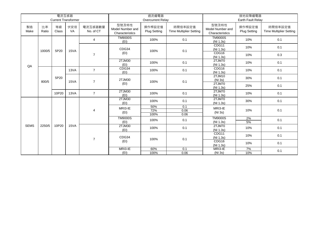|             |             | 電流互感器              | <b>Current Transformer</b> |                      |                                              | 過流繼電器<br>Overcurrent Relay    |                                           | 接地故障繼電器<br>Earth Fault Relay                 |                               |                                                                                                |    |
|-------------|-------------|--------------------|----------------------------|----------------------|----------------------------------------------|-------------------------------|-------------------------------------------|----------------------------------------------|-------------------------------|------------------------------------------------------------------------------------------------|----|
| 製造<br>Make  | 比率<br>Ratio | 等級<br><b>Class</b> | 伏安培<br>VA                  | 電流互感器數量<br>No. of CT | 型號及特性<br>Model Number and<br>Characteristics | 操作桿設定值<br><b>Plug Setting</b> | 時間倍率設定值<br><b>Time Multiplier Setting</b> | 型號及特性<br>Model Number and<br>Characteristics | 操作桿設定值<br><b>Plug Setting</b> | 時間倍率設定值<br><b>Time Multiplier Setting</b>                                                      |    |
|             |             |                    |                            | $\overline{4}$       | <b>TM9000S</b><br>(EI)                       | 100%                          | 0.1                                       | <b>TM9000S</b><br>(NI 1.3s)                  | 10%                           | 0.1                                                                                            |    |
|             | 1000/5      | 5P20               | 15VA                       |                      | CDG34                                        | 100%                          | 0.1                                       | CDG11<br>(NI 1.3s)                           | 10%                           | 0.1<br>0.3<br>0.1<br>0.1<br>0.1<br>0.1<br>0.1<br>0.1<br>0.1<br>0.1<br>0.1<br>0.1<br>0.1<br>0.1 |    |
|             |             |                    |                            | $\overline{7}$       | (EI)                                         |                               |                                           | CDG16<br>(NI 1.3s)                           | 10%                           |                                                                                                |    |
| QA          |             |                    |                            |                      | 2TJM30<br>(EI)                               | 100%                          | 0.1                                       | 2TJM70<br>(NI 1.3s)                          | 10%                           |                                                                                                |    |
|             |             |                    | 13VA                       | $\overline{7}$       | CDG34<br>(EI)                                | 100%                          | 0.1                                       | CDG16<br>(NI 1.3s)                           | 10%                           |                                                                                                |    |
|             | 800/5       | 5P20               | 15VA                       | $\overline{7}$       | 2TJM30                                       | 100%                          | 0.1                                       | 2TJM10<br>(NI 3s)                            | 30%                           |                                                                                                |    |
|             |             |                    |                            |                      | (EI)                                         |                               |                                           | 2TJM70<br>(NI 1.3s)                          | 25%                           |                                                                                                |    |
|             |             | 10P20              | 13VA                       | $\overline{7}$       | 2TJM30<br>(EI)                               | 100%                          | 0.1                                       | 2TJM70<br>(NI 1.3s)                          | 10%                           |                                                                                                |    |
|             |             |                    |                            |                      | 2TJM30<br>(EI)                               | 100%                          | 0.1                                       | 2TJM70<br>(NI 1.3s)                          | 30%                           |                                                                                                |    |
|             |             |                    |                            | 4                    | MRI3-IE<br>(EI)                              | 50%<br>72%<br>100%            | 0.1<br>0.06<br>0.06                       | MRI3-IE<br>(NI 3s)                           | 10%                           |                                                                                                |    |
|             |             |                    |                            |                      | <b>TM9000S</b><br>(EI)                       | 100%                          | 0.1                                       | <b>TM9000S</b><br>(NI 1.3s)                  | 2%<br>5%                      |                                                                                                |    |
| <b>SEMS</b> | 2250/5      | 10P20              | 15VA                       |                      | 2TJM30<br>(EI)                               | 100%                          | 0.1                                       | 2TJM70<br>(NI 1.3s)                          | 10%                           |                                                                                                |    |
|             |             |                    |                            |                      | CDG34                                        |                               | 0.1                                       | CDG11<br>(NI 1.3s)                           | 10%                           |                                                                                                |    |
|             |             |                    |                            |                      | $\overline{7}$                               | (EI)                          | 100%                                      |                                              | CDG16<br>(NI 1.3s)            | 10%                                                                                            |    |
|             |             |                    |                            |                      |                                              |                               | MRI3-IE                                   | 60%                                          | 0.1                           | MRI3-IE                                                                                        | 7% |
|             |             |                    |                            |                      | (EI)                                         | 100%                          | 0.06                                      | (NI 3s)                                      | 10%                           |                                                                                                |    |